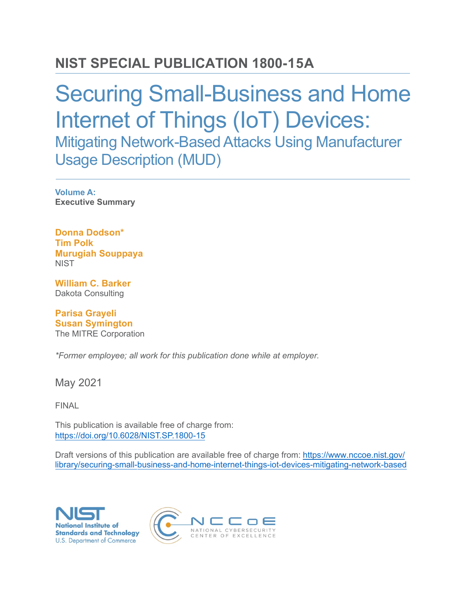## **NIST SPECIAL PUBLICATION 1800-15A**

# Securing Small-Business and Home Internet of Things (IoT) Devices: Mitigating Network-Based Attacks Using Manufacturer Usage Description (MUD)

**Volume A: Executive Summary**

**Donna Dodson\* Tim Polk Murugiah Souppaya NIST** 

**William C. Barker** Dakota Consulting

**Parisa Grayeli Susan Symington** The MITRE Corporation

*\*Former employee; all work for this publication done while at employer.*

May 2021

FINAL

This publication is available free of charge from: <https://doi.org/10.6028/NIST.SP.1800-15>

Draft versions of this publication are available fr[ee of charge from: https://www.nccoe.nist.gov/](https://www.nccoe.nist.gov/library/securing-small-business-and-home-internet-things-iot-devices-mitigating-network-based) [library/securing-small-business-and-home-internet-things-iot-devices-mitig](https://www.nccoe.nist.gov/library/securing-small-business-and-home-internet-things-iot-devices-mitigating-network-based)ating-network-based



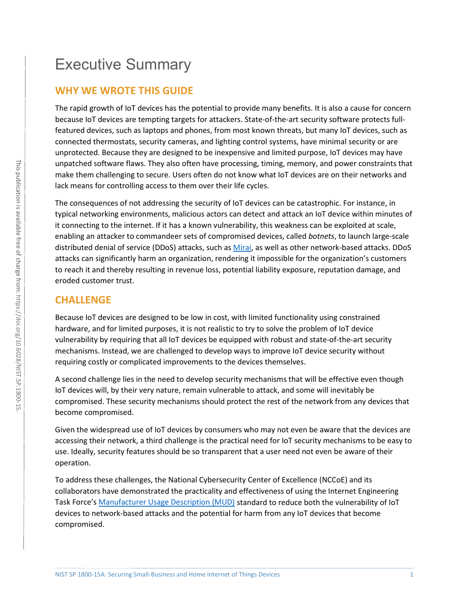#### **WHY WE WROTE THIS GUIDE**

The rapid growth of IoT devices has the potential to provide many benefits. It is also a cause for concern because IoT devices are tempting targets for attackers. State-of-the-art security software protects fullfeatured devices, such as laptops and phones, from most known threats, but many IoT devices, such as connected thermostats, security cameras, and lighting control systems, have minimal security or are unprotected. Because they are designed to be inexpensive and limited purpose, IoT devices may have unpatched software flaws. They also often have processing, timing, memory, and power constraints that make them challenging to secure. Users often do not know what IoT devices are on their networks and lack means for controlling access to them over their life cycles.

The consequences of not addressing the security of IoT devices can be catastrophic. For instance, in typical networking environments, malicious actors can detect and attack an IoT device within minutes of it connecting to the internet. If it has a known vulnerability, this weakness can be exploited at scale, enabling an attacker to commandeer sets of compromised devices, called *botnets*, to launch large-scale distributed denial of service (DDoS) attacks, such as [Mirai,](https://www.sciencedirect.com/science/article/pii/S2666281720300214) as well as other network-based attacks. DDoS attacks can significantly harm an organization, rendering it impossible for the organization's customers to reach it and thereby resulting in revenue loss, potential liability exposure, reputation damage, and eroded customer trust.

### **CHALLENGE**

Because IoT devices are designed to be low in cost, with limited functionality using constrained hardware, and for limited purposes, it is not realistic to try to solve the problem of IoT device vulnerability by requiring that all IoT devices be equipped with robust and state-of-the-art security mechanisms. Instead, we are challenged to develop ways to improve IoT device security without requiring costly or complicated improvements to the devices themselves.

A second challenge lies in the need to develop security mechanisms that will be effective even though IoT devices will, by their very nature, remain vulnerable to attack, and some will inevitably be compromised. These security mechanisms should protect the rest of the network from any devices that become compromised.

Given the widespread use of IoT devices by consumers who may not even be aware that the devices are accessing their network, a third challenge is the practical need for IoT security mechanisms to be easy to use. Ideally, security features should be so transparent that a user need not even be aware of their operation.

To address these challenges, the National Cybersecurity Center of Excellence (NCCoE) and its collaborators have demonstrated the practicality and effectiveness of using the Internet Engineering Task Force's [Manufacturer Usage Description \(MUD\)](https://tools.ietf.org/html/rfc8520) standard to reduce both the vulnerability of IoT devices to network-based attacks and the potential for harm from any IoT devices that become compromised.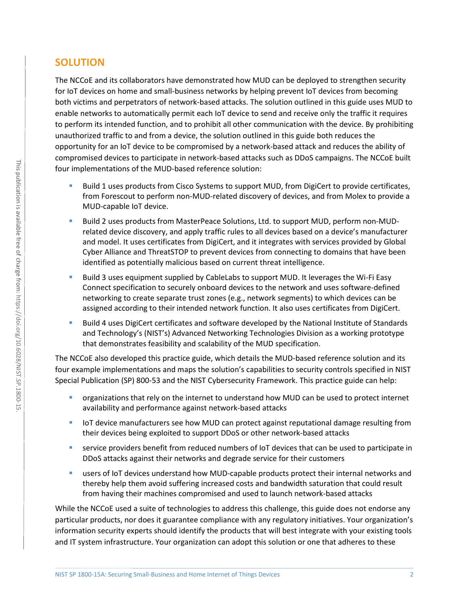### **SOLUTION**

The NCCoE and its collaborators have demonstrated how MUD can be deployed to strengthen security for IoT devices on home and small-business networks by helping prevent IoT devices from becoming both victims and perpetrators of network-based attacks. The solution outlined in this guide uses MUD to enable networks to automatically permit each IoT device to send and receive only the traffic it requires to perform its intended function, and to prohibit all other communication with the device. By prohibiting unauthorized traffic to and from a device, the solution outlined in this guide both reduces the opportunity for an IoT device to be compromised by a network-based attack and reduces the ability of compromised devices to participate in network-based attacks such as DDoS campaigns. The NCCoE built four implementations of the MUD-based reference solution:

- Build 1 uses products from Cisco Systems to support MUD, from DigiCert to provide certificates, from Forescout to perform non-MUD-related discovery of devices, and from Molex to provide a MUD-capable IoT device.
- Build 2 uses products from MasterPeace Solutions, Ltd. to support MUD, perform non-MUDrelated device discovery, and apply traffic rules to all devices based on a device's manufacturer and model. It uses certificates from DigiCert, and it integrates with services provided by Global Cyber Alliance and ThreatSTOP to prevent devices from connecting to domains that have been identified as potentially malicious based on current threat intelligence.
- Build 3 uses equipment supplied by CableLabs to support MUD. It leverages the Wi-Fi Easy Connect specification to securely onboard devices to the network and uses software-defined networking to create separate trust zones (e.g., network segments) to which devices can be assigned according to their intended network function. It also uses certificates from DigiCert.
- Build 4 uses DigiCert certificates and software developed by the National Institute of Standards and Technology's (NIST's) Advanced Networking Technologies Division as a working prototype that demonstrates feasibility and scalability of the MUD specification.

The NCCoE also developed this practice guide, which details the MUD-based reference solution and its four example implementations and maps the solution's capabilities to security controls specified in NIST Special Publication (SP) 800-53 and the NIST Cybersecurity Framework. This practice guide can help:

- organizations that rely on the internet to understand how MUD can be used to protect internet availability and performance against network-based attacks
- **IoT** device manufacturers see how MUD can protect against reputational damage resulting from their devices being exploited to support DDoS or other network-based attacks
- service providers benefit from reduced numbers of IoT devices that can be used to participate in DDoS attacks against their networks and degrade service for their customers
- users of IoT devices understand how MUD-capable products protect their internal networks and thereby help them avoid suffering increased costs and bandwidth saturation that could result from having their machines compromised and used to launch network-based attacks

While the NCCoE used a suite of technologies to address this challenge, this guide does not endorse any particular products, nor does it guarantee compliance with any regulatory initiatives. Your organization's information security experts should identify the products that will best integrate with your existing tools and IT system infrastructure. Your organization can adopt this solution or one that adheres to these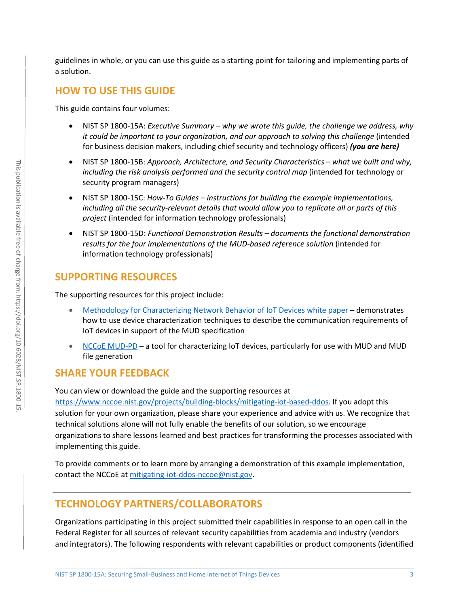guidelines in whole, or you can use this guide as a starting point for tailoring and implementing parts of a solution.

#### **HOW TO USE THIS GUIDE**

This guide contains four volumes:

- NIST SP 1800-15A: *Executive Summary why we wrote this guide, the challenge we address, why it could be important to your organization, and our approach to solving this challenge* (intended for business decision makers, including chief security and technology officers) *(you are here)*
- NIST SP 1800-15B: *Approach, Architecture, and Security Characteristics what we built and why, including the risk analysis performed and the security control map* (intended for technology or security program managers)
- NIST SP 1800-15C: *How-To Guides instructions for building the example implementations, including all the security-relevant details that would allow you to replicate all or parts of this project* (intended for information technology professionals)
- NIST SP 1800-15D: *Functional Demonstration Results documents the functional demonstration results for the four implementations of the MUD-based reference solution* (intended for information technology professionals)

#### **SUPPORTING RESOURCES**

The supporting resources for this project include:

- [Methodology for Characterizing Network Behavior of IoT Devices white paper](https://www.nccoe.nist.gov/projects/building-blocks/mitigating-iot-based-ddos/iot-device-characterization)demonstrates how to use device characterization techniques to describe the communication requirements of IoT devices in support of the MUD specification
- [NCCoE MUD-PD](https://github.com/usnistgov/MUD-PD)a tool for characterizing IoT devices, particularly for use with MUD and MUD file generation

#### **SHARE YOUR FEEDBACK**

You can view or download the guide and the supporting resources at

[https://www.nccoe.nist.gov/projects/building-blocks/mitigating-iot-based-ddos.](https://www.nccoe.nist.gov/projects/building-blocks/mitigating-iot-based-ddos) If you adopt this solution for your own organization, please share your experience and advice with us. We recognize that technical solutions alone will not fully enable the benefits of our solution, so we encourage organizations to share lessons learned and best practices for transforming the processes associated with implementing this guide.

To provide comments or to learn more by arranging a demonstration of this example implementation, contact the NCCoE a[t mitigating-iot-ddos-nccoe@nist.gov.](mailto:mitigating-iot-ddos-nccoe@nist.gov)

#### **TECHNOLOGY PARTNERS/COLLABORATORS**

Organizations participating in this project submitted their capabilities in response to an open call in the Federal Register for all sources of relevant security capabilities from academia and industry (vendors and integrators). The following respondents with relevant capabilities or product components (identified